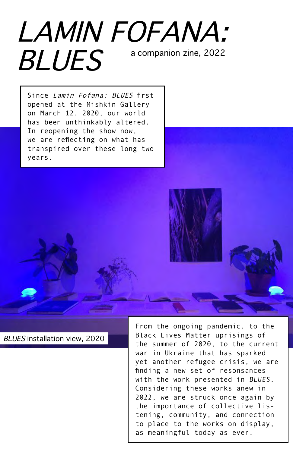## LAMIN FOFANA: BLUES a companion zine, 2022

Since Lamin Fofana: BLUES first opened at the Mishkin Gallery on March 12, 2020, our world has been unthinkably altered. In reopening the show now, we are reflecting on what has transpired over these long two years.



BLUES installation view, 2020

From the ongoing pandemic, to the Black Lives Matter uprisings of the summer of 2020, to the current war in Ukraine that has sparked yet another refugee crisis, we are finding a new set of resonsances with the work presented in BLUES. Considering these works anew in 2022, we are struck once again by the importance of collective listening, community, and connection to place to the works on display, as meaningful today as ever.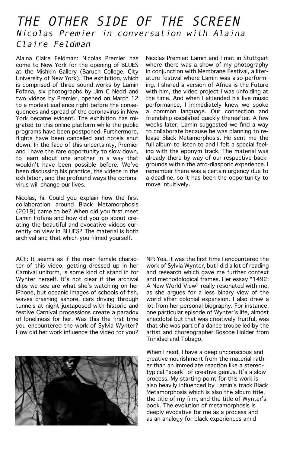## THE OTHER SIDE OF THE SCREEN Nicolas Premier in conversation with Alaina Claire Feldman

Alaina Claire Feldman: Nicolas Premier has come to New York for the opening of BLUES at the Mishkin Gallery (Baruch College, City University of New York). The exhibition, which is comprised of three sound works by Lamin Fofana, six photographs by Jim C Nedd and two videos by Premier, opened on March 12 to a modest audience right before the consequences and spread of the coronavirus in New York became evident. The exhibition has migrated to this online platform while the public programs have been postponed. Furthermore, flights have been cancelled and hotels shut down. In the face of this uncertainty, Premier and I have the rare opportunity to slow down, to learn about one another in a way that wouldn't have been possible before. We've been discussing his practice, the videos in the exhibition, and the profound ways the coronavirus will change our lives.

Nicolas, hi. Could you explain how the first collaboration around Black Metamorphosis (2019) came to be? When did you first meet Lamin Fofana and how did you go about creating the beautiful and evocative videos currently on view in BLUES? The material is both archival and that which you filmed yourself.

ACF: It seems as if the main female character of this video, getting dressed up in her Carnival uniform, is some kind of stand in for Wynter herself. It's not clear if the archival clips we see are what she's watching on her iPhone, but oceanic images of schools of fish, waves crashing ashore, cars driving through tunnels at night juxtaposed with historic and festive Carnival processions create a paradox of loneliness for her. Was this the first time you encountered the work of Sylvia Wynter? How did her work influence the video for you?



Nicolas Premier: Lamin and I met in Stuttgart where there was a show of my photography in conjunction with Membrane Festival, a literature festival where Lamin was also performing. I shared a version of Africa is the Future with him, the video project I was unfolding at the time. And when I attended his live music performance, I immediately knew we spoke a common language. Our connection and friendship escalated quickly thereafter. A few weeks later, Lamin suggested we find a way to collaborate because he was planning to release Black Metamorphosis. He sent me the full album to listen to and I felt a special feeling with the eponym track. The material was already there by way of our respective backgrounds within the afro-diasporic experience. I remember there was a certain urgency due to a deadline, so it has been the opportunity to move intuitively.

NP: Yes, it was the first time I encountered the work of Sylvia Wynter, but I did a lot of reading and research which gave me further context and methodological frames. Her essay "1492: A New World View" really resonated with me, as she argues for a less binary view of the world after colonial expansion. I also drew a lot from her personal biography. For instance, one particular episode of Wynter's life, almost anecdotal but that was creatively fruitful, was that she was part of a dance troupe led by the artist and choreographer Boscoe Holder from Trinidad and Tobago.

When I read, I have a deep unconscious and creative nourishment from the material rather than an immediate reaction like a stereotypical "spark" of creative genius. It's a slow process. My starting point for this work is also heavily influenced by Lamin's track Black Metamorphosis which is also the album title, the title of my film, and the title of Wynter's book. The evolution of metamorphosis is deeply evocative for me as a process and as an analogy for black experiences amid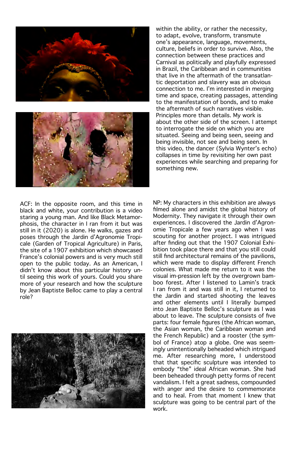



within the ability, or rather the necessity, to adapt, evolve, transform, transmute one's appearance, language, movements, culture, beliefs in order to survive. Also, the connection between these practices and Carnival as politically and playfully expressed in Brazil, the Caribbean and in communities that live in the aftermath of the transatlantic deportation and slavery was an obvious connection to me. I'm interested in merging time and space, creating passages, attending to the manifestation of bonds, and to make the aftermath of such narratives visible. Principles more than details. My work is about the other side of the screen. I attempt to interrogate the side on which you are situated. Seeing and being seen, seeing and being invisible, not see and being seen. In this video, the dancer (Sylvia Wynter's echo) collapses in time by revisiting her own past experiences while searching and preparing for something new.

ACF: In the opposite room, and this time in black and white, your contribution is a video staring a young man. And like Black Metamorphosis, the character in I ran from it but was still in it (2020) is alone. He walks, gazes and poses through the Jardin d'Agronomie Tropicale (Garden of Tropical Agriculture) in Paris, the site of a 1907 exhibition which showcased France's colonial powers and is very much still open to the public today. As an American, I didn't know about this particular history until seeing this work of yours. Could you share more of your research and how the sculpture by Jean Baptiste Belloc came to play a central role?



NP: My characters in this exhibition are always filmed alone and amidst the global history of Modernity. They navigate it through their own experiences. I discovered the Jardin d'Agronomie Tropicale a few years ago when I was scouting for another project. I was intrigued after finding out that the 1907 Colonial Exhibition took place there and that you still could still find architectural remains of the pavilions, which were made to display different French colonies. What made me return to it was the visual im-pression left by the overgrown bamboo forest. After I listened to Lamin's track I ran from it and was still in it, I returned to the Jardin and started shooting the leaves and other elements until I literally bumped into Jean Baptiste Belloc's sculpture as I was about to leave. The sculpture consists of five parts: four female figures (the African woman, the Asian woman, the Caribbean woman and the French Republic) and a rooster (the symbol of France) atop a globe. One was seemingly unintentionally beheaded which intrigued me. After researching more, I understood that that specific sculpture was intended to embody "the" ideal African woman. She had been beheaded through petty forms of recent vandalism. I felt a great sadness, compounded with anger and the desire to commemorate and to heal. From that moment I knew that sculpture was going to be central part of the work.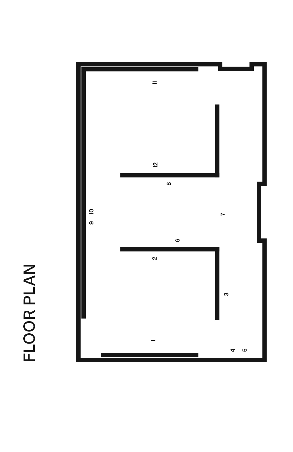## FLOOR PLAN

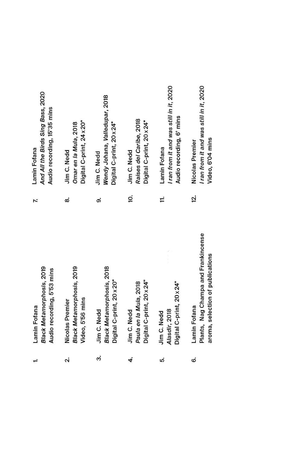**Black Metamorphosis, 2019** Audio recording, 5'53 mins Lamin Fofana

 $\div$ 

- **Black Metamorphosis, 2019** Video, 5'56 mins Nicolas Premier  $\mathbf{a}$
- **Black Metamorphosis, 2018** Digital C-print, 20 x 20" Jim C. Nedd ო
- Digital C-print, 20 x 24" Paula en la Mula, 2018 Jim C. Nedd 4
- Digital C-print, 20 x 24" Alasdir, 2018 Jim C. Nedd LÓ.
- Plants, Nag Champa and Frankincense aroma, selection of publications Lamin Fofana Ġ

And All the Birds Sing Bass, 2020 Audio recording, 15'35 mins Lamin Fofana

 $\mathbf{r}$ 

- Digital C-print, 24 x 20" Omar en la Mula, 2018 Jim C. Nedd  $\infty$
- Wendy Johana, Valledupar, 2018 Digital C-print, 20 x 24" Jim C. Nedd တ
- Raises del Caribe, 2018 Digital C-print, 20 x 24" Jim C. Nedd ö.
- I ran from it and was still in it, 2020 Audio recording, 6' mins Lamin Fofana  $\frac{1}{2}$
- I ran from it and was still in it, 2020 Video, 6'04 mins Nicolas Premier <u>ស្</u>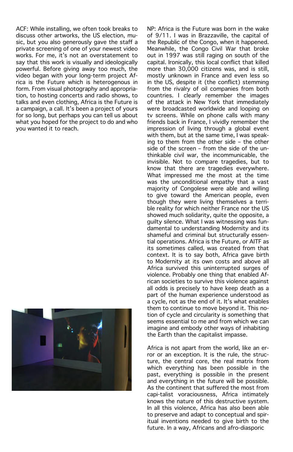ACF: While installing, we often took breaks to discuss other artworks, the US election, music, but you also generously gave the staff a private screening of one of your newest video works. For me, it's not an overstatement to say that this work is visually and ideologically powerful. Before giving away too much, the video began with your long-term project Africa is the Future which is heterogenous in form. From visual photography and appropriation, to hosting concerts and radio shows, to talks and even clothing, Africa is the Future is a campaign, a call. It's been a project of yours for so long, but perhaps you can tell us about what you hoped for the project to do and who you wanted it to reach.



NP: Africa is the Future was born in the wake of 9/11. I was in Brazzaville, the capital of the Republic of the Congo, when it happened. Meanwhile, the Congo Civil War that broke out in 1997 was still raging on south of the capital. Ironically, this local conflict that killed more than 30,000 citizens was, and is still, mostly unknown in France and even less so in the US, despite it (the conflict) stemming from the rivalry of oil companies from both countries. I clearly remember the images of the attack in New York that immediately were broadcasted worldwide and looping on tv screens. While on phone calls with many friends back in France, I vividly remember the impression of living through a global event with them, but at the same time, I was speaking to them from the other side – the other side of the screen – from the side of the unthinkable civil war, the incommunicable, the invisible. Not to compare tragedies, but to know that there are tragedies everywhere. What impressed me the most at the time was the unconditional empathy that a vast majority of Congolese were able and willing to give toward the American people, even though they were living themselves a terrible reality for which neither France nor the US showed much solidarity, quite the opposite, a guilty silence. What I was witnessing was fundamental to understanding Modernity and its shameful and criminal but structurally essential operations. Africa is the Future, or AITF as its sometimes called, was created from that context. It is to say both, Africa gave birth to Modernity at its own costs and above all Africa survived this uninterrupted surges of violence. Probably one thing that enabled African societies to survive this violence against all odds is precisely to have keep death as a part of the human experience understood as a cycle, not as the end of it. It's what enables them to continue to move beyond it. This notion of cycle and circularity is something that seems essential to me and from which we can imagine and embody other ways of inhabiting the Earth than the capitalist impasse.

Africa is not apart from the world, like an error or an exception. It is the rule, the structure, the central core, the real matrix from which everything has been possible in the past, everything is possible in the present and everything in the future will be possible. As the continent that suffered the most from capi-talist voraciousness, Africa intimately knows the nature of this destructive system. In all this violence, Africa has also been able to preserve and adapt to conceptual and spiritual inventions needed to give birth to the future. In a way, Africans and afro-diasporic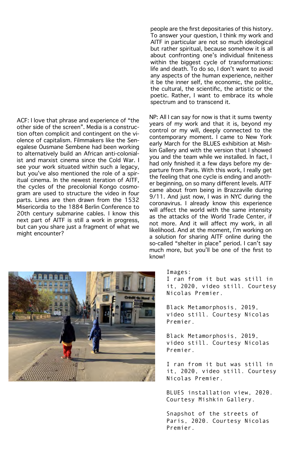ACF: I love that phrase and experience of "the other side of the screen". Media is a construction often complicit and contingent on the violence of capitalism. Filmmakers like the Senegalese Ousmane Sembene had been working to alternatively build an African anti-colonialist and marxist cinema since the Cold War. I see your work situated within such a legacy, but you've also mentioned the role of a spiritual cinema. In the newest iteration of AITF, the cycles of the precolonial Kongo cosmogram are used to structure the video in four parts. Lines are then drawn from the 1532 Misericordia to the 1884 Berlin Conference to 20th century submarine cables. I know this next part of AITF is still a work in progress, but can you share just a fragment of what we might encounter?



people are the first depositaries of this history. To answer your question, I think my work and AITF in particular are not so much ideological but rather spiritual, because somehow it is all about confronting one's individual finiteness within the biggest cycle of transformations: life and death. To do so, I don't want to avoid any aspects of the human experience, neither it be the inner self, the economic, the politic, the cultural, the scientific, the artistic or the poetic. Rather, I want to embrace its whole spectrum and to transcend it.

NP: All I can say for now is that it sums twenty years of my work and that it is, beyond my control or my will, deeply connected to the contemporary moment. I came to New York early March for the BLUES exhibition at Mishkin Gallery and with the version that I showed you and the team while we installed. In fact, I had only finished it a few days before my departure from Paris. With this work, I really get the feeling that one cycle is ending and another beginning, on so many different levels. AITF came about from being in Brazzaville during 9/11. And just now, I was in NYC during the coronavirus. I already know this experience will affect the world with the same intensity as the attacks of the World Trade Center, if not more. And it will affect my work, in all likelihood. And at the moment, I'm working on a solution for sharing AITF online during the so-called "shelter in place" period. I can't say much more, but you'll be one of the first to know!

Images:

I ran from it but was still in it, 2020, video still. Courtesy Nicolas Premier.

Black Metamorphosis, 2019, video still. Courtesy Nicolas Premier.

Black Metamorphosis, 2019, video still. Courtesy Nicolas Premier.

I ran from it but was still in it, 2020, video still. Courtesy Nicolas Premier.

BLUES installation view, 2020. Courtesy Mishkin Gallery.

Snapshot of the streets of Paris, 2020. Courtesy Nicolas Premier.